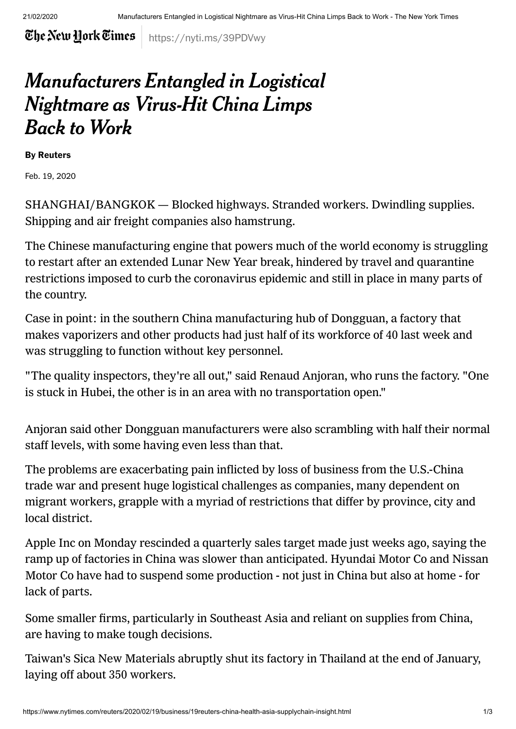The New Hork Times https://nyti.ms/39PDVwy

## Manufacturers Entangled in Logistical Nightmare as Virus-Hit China Limps Back to Work

## By Reuters

Feb. 19, 2020

SHANGHAI/BANGKOK — Blocked highways. Stranded workers. Dwindling supplies. Shipping and air freight companies also hamstrung.

The Chinese manufacturing engine that powers much of the world economy is struggling to restart after an extended Lunar New Year break, hindered by travel and quarantine restrictions imposed to curb the coronavirus epidemic and still in place in many parts of the country.

Case in point: in the southern China manufacturing hub of Dongguan, a factory that makes vaporizers and other products had just half of its workforce of 40 last week and was struggling to function without key personnel.

"The quality inspectors, they're all out," said Renaud Anjoran, who runs the factory. "One is stuck in Hubei, the other is in an area with no transportation open."

Anjoran said other Dongguan manufacturers were also scrambling with half their normal staff levels, with some having even less than that.

The problems are exacerbating pain inflicted by loss of business from the U.S.-China trade war and present huge logistical challenges as companies, many dependent on migrant workers, grapple with a myriad of restrictions that differ by province, city and local district.

Apple Inc on Monday rescinded a quarterly sales target made just weeks ago, saying the ramp up of factories in China was slower than anticipated. Hyundai Motor Co and Nissan Motor Co have had to suspend some production - not just in China but also at home - for lack of parts.

Some smaller firms, particularly in Southeast Asia and reliant on supplies from China, are having to make tough decisions.

Taiwan's Sica New Materials abruptly shut its factory in Thailand at the end of January, laying off about 350 workers.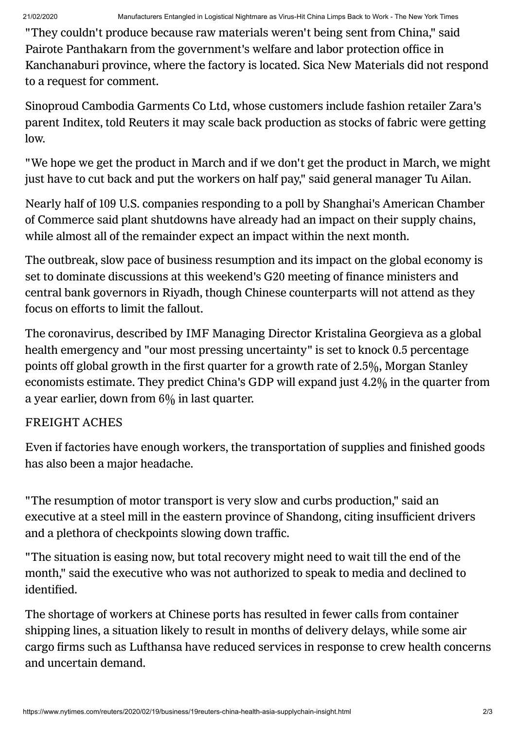"They couldn't produce because raw materials weren't being sent from China," said Pairote Panthakarn from the government's welfare and labor protection office in Kanchanaburi province, where the factory is located. Sica New Materials did not respond to a request for comment.

Sinoproud Cambodia Garments Co Ltd, whose customers include fashion retailer Zara's parent Inditex, told Reuters it may scale back production as stocks of fabric were getting low.

"We hope we get the product in March and if we don't get the product in March, we might just have to cut back and put the workers on half pay," said general manager Tu Ailan.

Nearly half of 109 U.S. companies responding to a poll by Shanghai's American Chamber of Commerce said plant shutdowns have already had an impact on their supply chains, while almost all of the remainder expect an impact within the next month.

The outbreak, slow pace of business resumption and its impact on the global economy is set to dominate discussions at this weekend's G20 meeting of finance ministers and central bank governors in Riyadh, though Chinese counterparts will not attend as they focus on efforts to limit the fallout.

The coronavirus, described by IMF Managing Director Kristalina Georgieva as a global health emergency and "our most pressing uncertainty" is set to knock 0.5 percentage points off global growth in the first quarter for a growth rate of 2.5%, Morgan Stanley economists estimate. They predict China's GDP will expand just 4.2% in the quarter from a year earlier, down from 6% in last quarter.

## FREIGHT ACHES

Even if factories have enough workers, the transportation of supplies and finished goods has also been a major headache.

"The resumption of motor transport is very slow and curbs production," said an executive at a steel mill in the eastern province of Shandong, citing insufficient drivers and a plethora of checkpoints slowing down traffic.

"The situation is easing now, but total recovery might need to wait till the end of the month," said the executive who was not authorized to speak to media and declined to identified.

The shortage of workers at Chinese ports has resulted in fewer calls from container shipping lines, a situation likely to result in months of delivery delays, while some air cargo firms such as Lufthansa have reduced services in response to crew health concerns and uncertain demand.